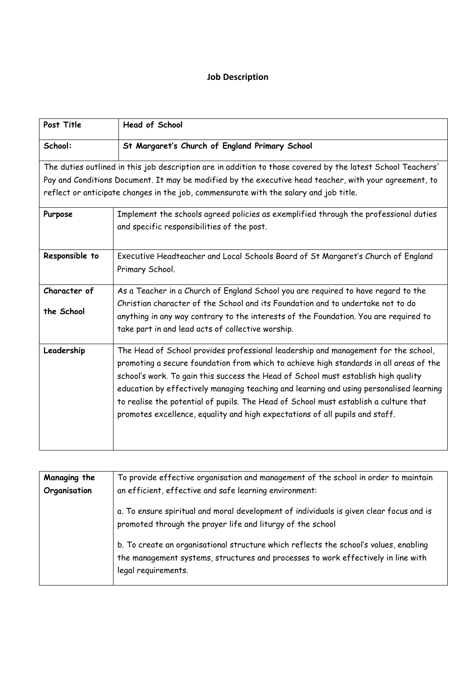# **Job Description**

| Post Title                 | <b>Head of School</b>                                                                                                                                                                                                                                                                                                                                                                                                                                                                                                                 |
|----------------------------|---------------------------------------------------------------------------------------------------------------------------------------------------------------------------------------------------------------------------------------------------------------------------------------------------------------------------------------------------------------------------------------------------------------------------------------------------------------------------------------------------------------------------------------|
| School:                    | St Margaret's Church of England Primary School                                                                                                                                                                                                                                                                                                                                                                                                                                                                                        |
|                            | The duties outlined in this job description are in addition to those covered by the latest School Teachers'                                                                                                                                                                                                                                                                                                                                                                                                                           |
|                            | Pay and Conditions Document. It may be modified by the executive head teacher, with your agreement, to                                                                                                                                                                                                                                                                                                                                                                                                                                |
|                            | reflect or anticipate changes in the job, commensurate with the salary and job title.                                                                                                                                                                                                                                                                                                                                                                                                                                                 |
| Purpose                    | Implement the schools agreed policies as exemplified through the professional duties<br>and specific responsibilities of the post.                                                                                                                                                                                                                                                                                                                                                                                                    |
| Responsible to             | Executive Headteacher and Local Schools Board of St Margaret's Church of England<br>Primary School.                                                                                                                                                                                                                                                                                                                                                                                                                                   |
| Character of<br>the School | As a Teacher in a Church of England School you are required to have regard to the<br>Christian character of the School and its Foundation and to undertake not to do<br>anything in any way contrary to the interests of the Foundation. You are required to<br>take part in and lead acts of collective worship.                                                                                                                                                                                                                     |
| Leadership                 | The Head of School provides professional leadership and management for the school,<br>promoting a secure foundation from which to achieve high standards in all areas of the<br>school's work. To gain this success the Head of School must establish high quality<br>education by effectively managing teaching and learning and using personalised learning<br>to realise the potential of pupils. The Head of School must establish a culture that<br>promotes excellence, equality and high expectations of all pupils and staff. |

| Managing the | To provide effective organisation and management of the school in order to maintain                                                                                                               |
|--------------|---------------------------------------------------------------------------------------------------------------------------------------------------------------------------------------------------|
| Organisation | an efficient, effective and safe learning environment:                                                                                                                                            |
|              | a. To ensure spiritual and moral development of individuals is given clear focus and is<br>promoted through the prayer life and liturgy of the school                                             |
|              | b. To create an organisational structure which reflects the school's values, enabling<br>the management systems, structures and processes to work effectively in line with<br>legal requirements. |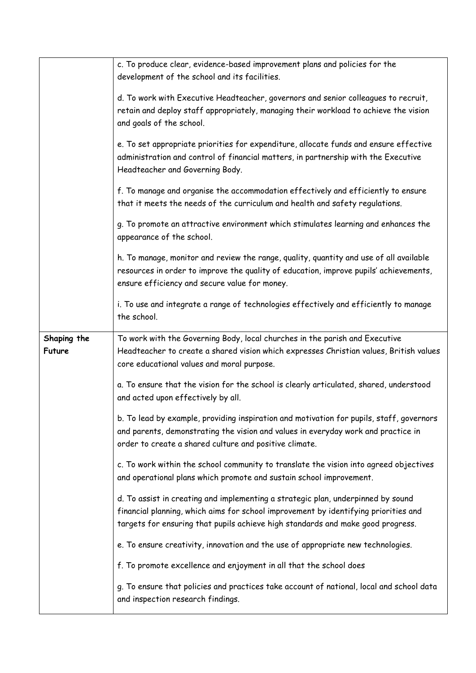|             | c. To produce clear, evidence-based improvement plans and policies for the               |
|-------------|------------------------------------------------------------------------------------------|
|             | development of the school and its facilities.                                            |
|             |                                                                                          |
|             | d. To work with Executive Headteacher, governors and senior colleagues to recruit,       |
|             | retain and deploy staff appropriately, managing their workload to achieve the vision     |
|             | and goals of the school.                                                                 |
|             |                                                                                          |
|             | e. To set appropriate priorities for expenditure, allocate funds and ensure effective    |
|             | administration and control of financial matters, in partnership with the Executive       |
|             | Headteacher and Governing Body.                                                          |
|             |                                                                                          |
|             | f. To manage and organise the accommodation effectively and efficiently to ensure        |
|             | that it meets the needs of the curriculum and health and safety regulations.             |
|             |                                                                                          |
|             | g. To promote an attractive environment which stimulates learning and enhances the       |
|             | appearance of the school.                                                                |
|             |                                                                                          |
|             | h. To manage, monitor and review the range, quality, quantity and use of all available   |
|             | resources in order to improve the quality of education, improve pupils' achievements,    |
|             | ensure efficiency and secure value for money.                                            |
|             |                                                                                          |
|             | i. To use and integrate a range of technologies effectively and efficiently to manage    |
|             | the school.                                                                              |
|             |                                                                                          |
|             |                                                                                          |
| Shaping the | To work with the Governing Body, local churches in the parish and Executive              |
| Future      | Headteacher to create a shared vision which expresses Christian values, British values   |
|             | core educational values and moral purpose.                                               |
|             |                                                                                          |
|             | a. To ensure that the vision for the school is clearly articulated, shared, understood   |
|             | and acted upon effectively by all.                                                       |
|             | b. To lead by example, providing inspiration and motivation for pupils, staff, governors |
|             | and parents, demonstrating the vision and values in everyday work and practice in        |
|             | order to create a shared culture and positive climate.                                   |
|             |                                                                                          |
|             | c. To work within the school community to translate the vision into agreed objectives    |
|             | and operational plans which promote and sustain school improvement.                      |
|             |                                                                                          |
|             | d. To assist in creating and implementing a strategic plan, underpinned by sound         |
|             | financial planning, which aims for school improvement by identifying priorities and      |
|             | targets for ensuring that pupils achieve high standards and make good progress.          |
|             |                                                                                          |
|             | e. To ensure creativity, innovation and the use of appropriate new technologies.         |
|             |                                                                                          |
|             | f. To promote excellence and enjoyment in all that the school does                       |
|             | g. To ensure that policies and practices take account of national, local and school data |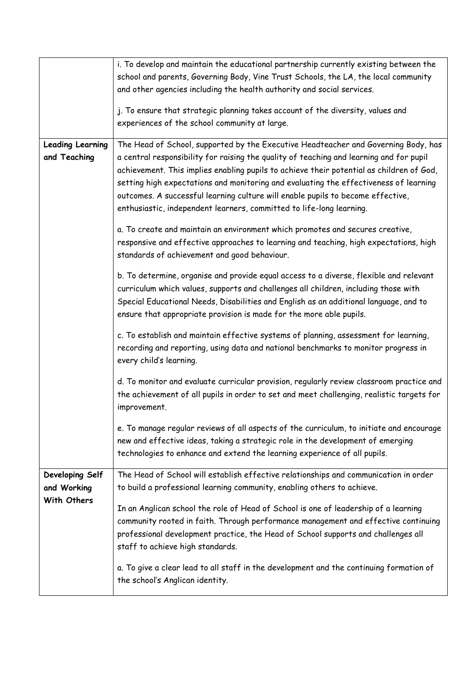|                         | i. To develop and maintain the educational partnership currently existing between the                                                                                                                                                                                                                                                                                                                                                   |
|-------------------------|-----------------------------------------------------------------------------------------------------------------------------------------------------------------------------------------------------------------------------------------------------------------------------------------------------------------------------------------------------------------------------------------------------------------------------------------|
|                         | school and parents, Governing Body, Vine Trust Schools, the LA, the local community                                                                                                                                                                                                                                                                                                                                                     |
|                         | and other agencies including the health authority and social services.                                                                                                                                                                                                                                                                                                                                                                  |
|                         | j. To ensure that strategic planning takes account of the diversity, values and<br>experiences of the school community at large.                                                                                                                                                                                                                                                                                                        |
| <b>Leading Learning</b> | The Head of School, supported by the Executive Headteacher and Governing Body, has                                                                                                                                                                                                                                                                                                                                                      |
| and Teaching            | a central responsibility for raising the quality of teaching and learning and for pupil<br>achievement. This implies enabling pupils to achieve their potential as children of God,<br>setting high expectations and monitoring and evaluating the effectiveness of learning<br>outcomes. A successful learning culture will enable pupils to become effective,<br>enthusiastic, independent learners, committed to life-long learning. |
|                         | a. To create and maintain an environment which promotes and secures creative,<br>responsive and effective approaches to learning and teaching, high expectations, high<br>standards of achievement and good behaviour.                                                                                                                                                                                                                  |
|                         | b. To determine, organise and provide equal access to a diverse, flexible and relevant<br>curriculum which values, supports and challenges all children, including those with<br>Special Educational Needs, Disabilities and English as an additional language, and to<br>ensure that appropriate provision is made for the more able pupils.                                                                                           |
|                         | c. To establish and maintain effective systems of planning, assessment for learning,<br>recording and reporting, using data and national benchmarks to monitor progress in<br>every child's learning.                                                                                                                                                                                                                                   |
|                         | d. To monitor and evaluate curricular provision, regularly review classroom practice and<br>the achievement of all pupils in order to set and meet challenging, realistic targets for<br>improvement.                                                                                                                                                                                                                                   |
|                         | e. To manage regular reviews of all aspects of the curriculum, to initiate and encourage<br>new and effective ideas, taking a strategic role in the development of emerging<br>technologies to enhance and extend the learning experience of all pupils.                                                                                                                                                                                |
| Developing Self         | The Head of School will establish effective relationships and communication in order                                                                                                                                                                                                                                                                                                                                                    |
| and Working             | to build a professional learning community, enabling others to achieve.                                                                                                                                                                                                                                                                                                                                                                 |
| With Others             |                                                                                                                                                                                                                                                                                                                                                                                                                                         |
|                         | In an Anglican school the role of Head of School is one of leadership of a learning<br>community rooted in faith. Through performance management and effective continuing<br>professional development practice, the Head of School supports and challenges all<br>staff to achieve high standards.                                                                                                                                      |
|                         | a. To give a clear lead to all staff in the development and the continuing formation of<br>the school's Anglican identity.                                                                                                                                                                                                                                                                                                              |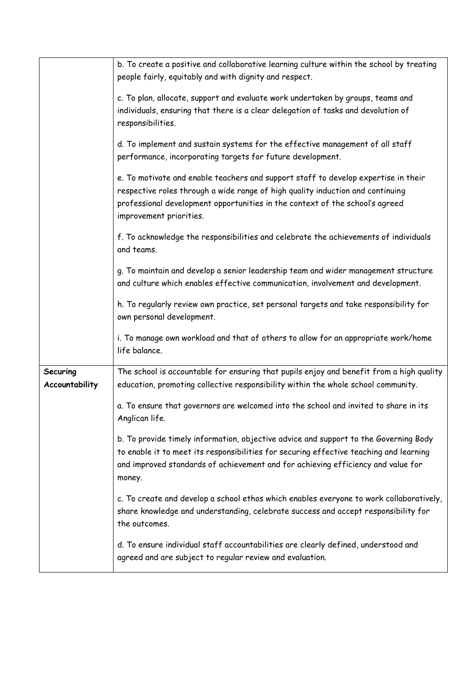|                            | b. To create a positive and collaborative learning culture within the school by treating<br>people fairly, equitably and with dignity and respect.                                                                                                                              |
|----------------------------|---------------------------------------------------------------------------------------------------------------------------------------------------------------------------------------------------------------------------------------------------------------------------------|
|                            | c. To plan, allocate, support and evaluate work undertaken by groups, teams and<br>individuals, ensuring that there is a clear delegation of tasks and devolution of<br>responsibilities.                                                                                       |
|                            | d. To implement and sustain systems for the effective management of all staff<br>performance, incorporating targets for future development.                                                                                                                                     |
|                            | e. To motivate and enable teachers and support staff to develop expertise in their<br>respective roles through a wide range of high quality induction and continuing<br>professional development opportunities in the context of the school's agreed<br>improvement priorities. |
|                            | f. To acknowledge the responsibilities and celebrate the achievements of individuals<br>and teams.                                                                                                                                                                              |
|                            | g. To maintain and develop a senior leadership team and wider management structure<br>and culture which enables effective communication, involvement and development.                                                                                                           |
|                            | h. To regularly review own practice, set personal targets and take responsibility for<br>own personal development.                                                                                                                                                              |
|                            | i. To manage own workload and that of others to allow for an appropriate work/home<br>life balance.                                                                                                                                                                             |
| Securing<br>Accountability | The school is accountable for ensuring that pupils enjoy and benefit from a high quality<br>education, promoting collective responsibility within the whole school community.                                                                                                   |
|                            | a. To ensure that governors are welcomed into the school and invited to share in its<br>Anglican life.                                                                                                                                                                          |
|                            | b. To provide timely information, objective advice and support to the Governing Body<br>to enable it to meet its responsibilities for securing effective teaching and learning<br>and improved standards of achievement and for achieving efficiency and value for<br>money.    |
|                            | c. To create and develop a school ethos which enables everyone to work collaboratively,<br>share knowledge and understanding, celebrate success and accept responsibility for<br>the outcomes.                                                                                  |
|                            | d. To ensure individual staff accountabilities are clearly defined, understood and<br>agreed and are subject to regular review and evaluation.                                                                                                                                  |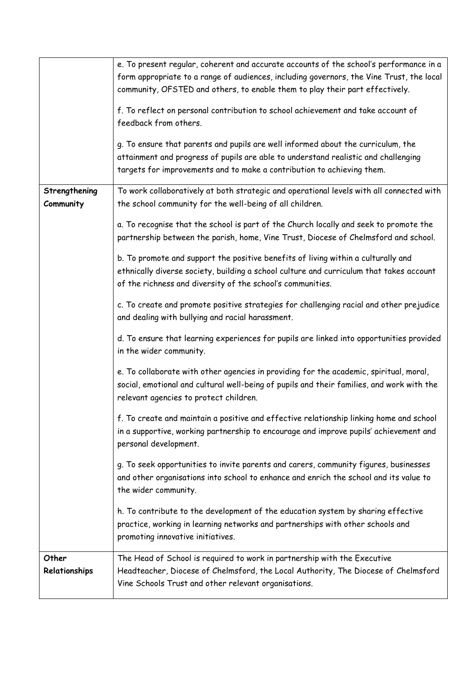|                            | e. To present regular, coherent and accurate accounts of the school's performance in a                                                                                                                                                           |
|----------------------------|--------------------------------------------------------------------------------------------------------------------------------------------------------------------------------------------------------------------------------------------------|
|                            | form appropriate to a range of audiences, including governors, the Vine Trust, the local                                                                                                                                                         |
|                            | community, OFSTED and others, to enable them to play their part effectively.                                                                                                                                                                     |
|                            | f. To reflect on personal contribution to school achievement and take account of<br>feedback from others.                                                                                                                                        |
|                            | g. To ensure that parents and pupils are well informed about the curriculum, the<br>attainment and progress of pupils are able to understand realistic and challenging<br>targets for improvements and to make a contribution to achieving them. |
| Strengthening<br>Community | To work collaboratively at both strategic and operational levels with all connected with<br>the school community for the well-being of all children.                                                                                             |
|                            | a. To recognise that the school is part of the Church locally and seek to promote the<br>partnership between the parish, home, Vine Trust, Diocese of Chelmsford and school.                                                                     |
|                            | b. To promote and support the positive benefits of living within a culturally and<br>ethnically diverse society, building a school culture and curriculum that takes account<br>of the richness and diversity of the school's communities.       |
|                            | c. To create and promote positive strategies for challenging racial and other prejudice<br>and dealing with bullying and racial harassment.                                                                                                      |
|                            | d. To ensure that learning experiences for pupils are linked into opportunities provided<br>in the wider community.                                                                                                                              |
|                            | e. To collaborate with other agencies in providing for the academic, spiritual, moral,<br>social, emotional and cultural well-being of pupils and their families, and work with the<br>relevant agencies to protect children.                    |
|                            | f. To create and maintain a positive and effective relationship linking home and school<br>in a supportive, working partnership to encourage and improve pupils' achievement and<br>personal development.                                        |
|                            | g. To seek opportunities to invite parents and carers, community figures, businesses<br>and other organisations into school to enhance and enrich the school and its value to<br>the wider community.                                            |
|                            | h. To contribute to the development of the education system by sharing effective<br>practice, working in learning networks and partnerships with other schools and<br>promoting innovative initiatives.                                          |
| Other<br>Relationships     | The Head of School is required to work in partnership with the Executive<br>Headteacher, Diocese of Chelmsford, the Local Authority, The Diocese of Chelmsford<br>Vine Schools Trust and other relevant organisations.                           |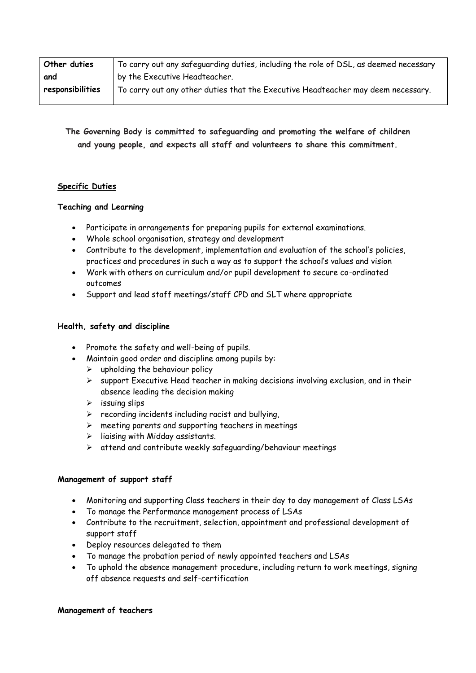| Other duties     | To carry out any safeguarding duties, including the role of DSL, as deemed necessary |
|------------------|--------------------------------------------------------------------------------------|
| and              | by the Executive Headteacher.                                                        |
| responsibilities | To carry out any other duties that the Executive Headteacher may deem necessary.     |

**The Governing Body is committed to safeguarding and promoting the welfare of children and young people, and expects all staff and volunteers to share this commitment.**

# **Specific Duties**

## **Teaching and Learning**

- Participate in arrangements for preparing pupils for external examinations.
- Whole school organisation, strategy and development
- Contribute to the development, implementation and evaluation of the school's policies, practices and procedures in such a way as to support the school's values and vision
- Work with others on curriculum and/or pupil development to secure co-ordinated outcomes
- Support and lead staff meetings/staff CPD and SLT where appropriate

## **Health, safety and discipline**

- Promote the safety and well-being of pupils.
- Maintain good order and discipline among pupils by:
	- $\triangleright$  upholding the behaviour policy
	- $\triangleright$  support Executive Head teacher in making decisions involving exclusion, and in their absence leading the decision making
	- $\triangleright$  issuing slips
	- $\triangleright$  recording incidents including racist and bullying,
	- $\triangleright$  meeting parents and supporting teachers in meetings
	- ➢ liaising with Midday assistants.
	- ➢ attend and contribute weekly safeguarding/behaviour meetings

#### **Management of support staff**

- Monitoring and supporting Class teachers in their day to day management of Class LSAs
- To manage the Performance management process of LSAs
- Contribute to the recruitment, selection, appointment and professional development of support staff
- Deploy resources delegated to them
- To manage the probation period of newly appointed teachers and LSAs
- To uphold the absence management procedure, including return to work meetings, signing off absence requests and self-certification

#### **Management of teachers**